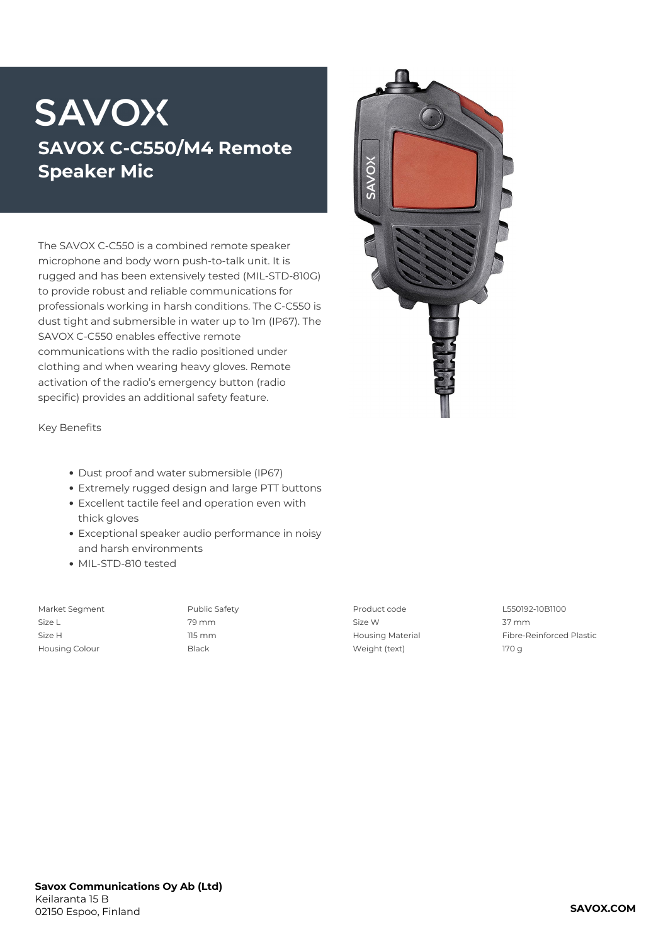## **SAVOX SAVOX C-C550/M4 Remote Speaker Mic**

The SAVOX C-C550 is a combined remote speaker microphone and body worn push-to-talk unit. It is rugged and has been extensively tested (MIL-STD-810G) to provide robust and reliable communications for professionals working in harsh conditions. The C-C550 is dust tight and submersible in water up to 1m (IP67). The SAVOX C-C550 enables effective remote communications with the radio positioned under clothing and when wearing heavy gloves. Remote activation of the radio's emergency button (radio specific) provides an additional safety feature.



**Key Benefits**

- Dust proof and water submersible (IP67)
- Extremely rugged design and large PTT buttons Excellent tactile feel and operation even with
- thick gloves
- Exceptional speaker audio performance in noisy and harsh environments
- MIL-STD-810 tested
- 

Size L 79 mm Size W 37 mm Housing Colour Black Weight (text) 170 g

Market Segment Public Safety Product code L550192-10B1100 Size H 115 mm Housing Material Fibre-Reinforced Plastic